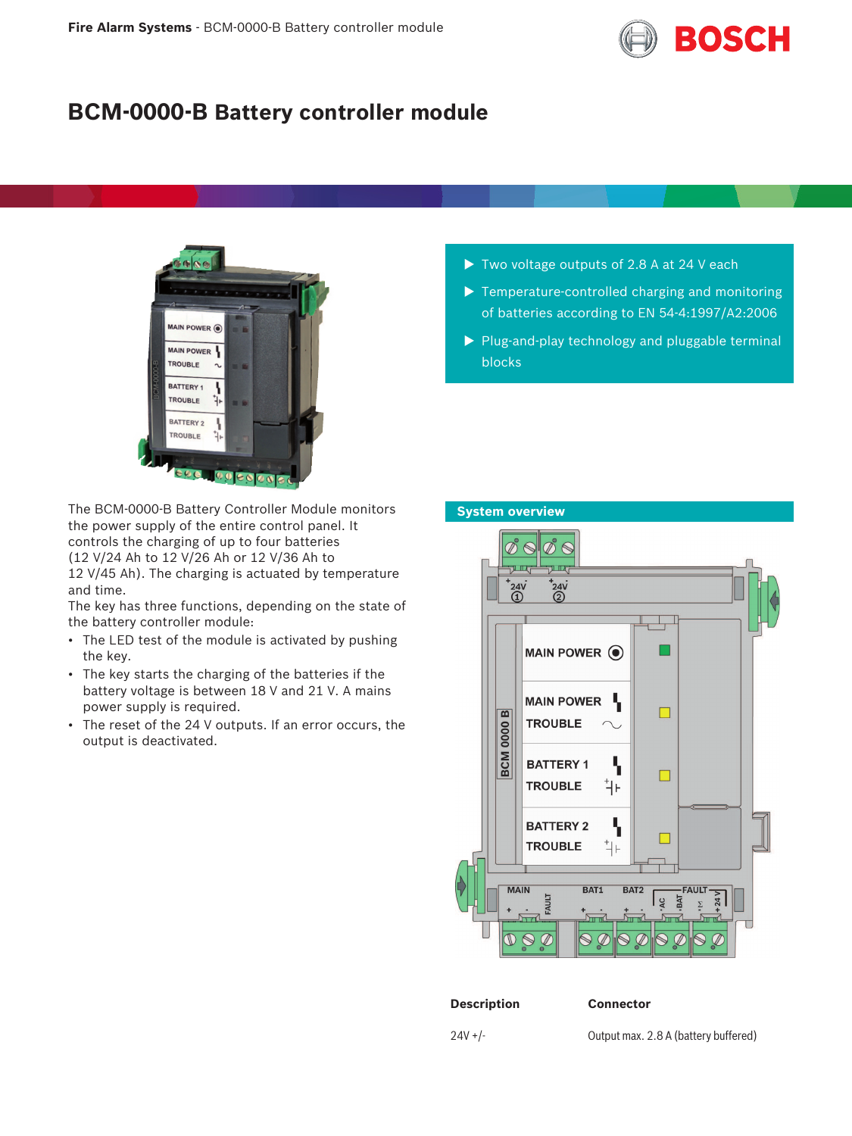

# **BCM-0000-B Battery controller module**



The BCM-0000-B Battery Controller Module monitors the power supply of the entire control panel. It controls the charging of up to four batteries (12 V/24 Ah to 12 V/26 Ah or 12 V/36 Ah to 12 V/45 Ah). The charging is actuated by temperature and time.

The key has three functions, depending on the state of the battery controller module:

- The LED test of the module is activated by pushing the key.
- The key starts the charging of the batteries if the battery voltage is between 18 V and 21 V. A mains power supply is required.
- The reset of the 24 V outputs. If an error occurs, the output is deactivated.
- $\blacktriangleright$  Two voltage outputs of 2.8 A at 24 V each
- $\blacktriangleright$  Temperature-controlled charging and monitoring of batteries according to EN 54‑4:1997/A2:2006
- $\triangleright$  Plug-and-play technology and pluggable terminal blocks



24V +/- Output max. 2.8 A (battery buffered)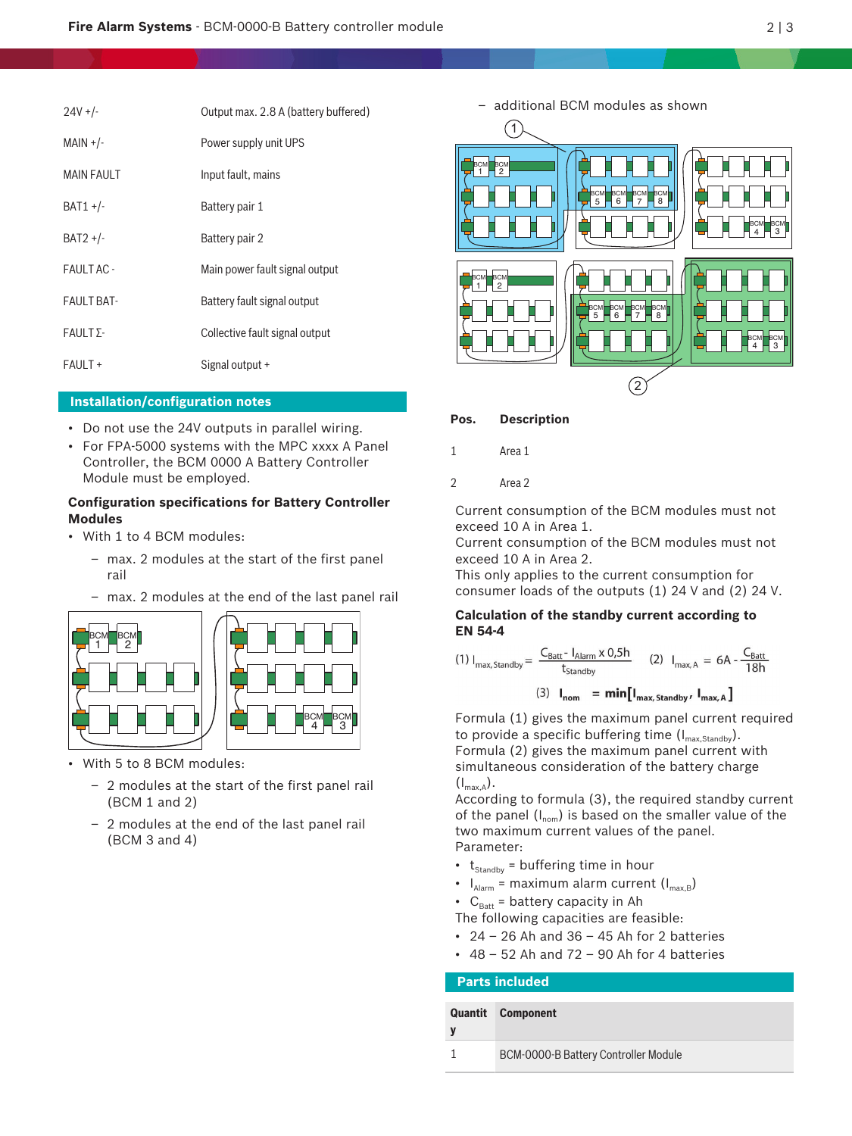| $24V +/-$          | Output max. 2.8 A (battery buffered) |
|--------------------|--------------------------------------|
| $MAIN + /-$        | Power supply unit UPS                |
| <b>MAIN FAULT</b>  | Input fault, mains                   |
| $BAT1 +/-$         | Battery pair 1                       |
| $BAT2 +/-$         | Battery pair 2                       |
| FAULT AC -         | Main power fault signal output       |
| <b>FAULT BAT-</b>  | Battery fault signal output          |
| $F A U L T \Sigma$ | Collective fault signal output       |
| <b>FAULT +</b>     | Signal output +                      |

# **Installation/configuration notes**

- Do not use the 24V outputs in parallel wiring.
- For FPA-5000 systems with the MPC xxxx A Panel Controller, the BCM 0000 A Battery Controller Module must be employed.

## **Configuration specifications for Battery Controller Modules**

- With 1 to 4 BCM modules:
	- max. 2 modules at the start of the first panel rail
	- max. 2 modules at the end of the last panel rail





- With 5 to 8 BCM modules:
	- 2 modules at the start of the first panel rail (BCM 1 and 2)
	- 2 modules at the end of the last panel rail (BCM 3 and 4)

– additional BCM modules as shown



## **Pos. Description**

- 1 Area 1
- 2 Area 2

Current consumption of the BCM modules must not exceed 10 A in Area 1.

Current consumption of the BCM modules must not exceed 10 A in Area 2.

This only applies to the current consumption for consumer loads of the outputs (1) 24 V and (2) 24 V.

#### **Calculation of the standby current according to EN 54‑4**

(1) 
$$
I_{\text{max, Standby}} = \frac{C_{\text{Batt}} - I_{\text{Alarm}} \times 0.5h}{t_{\text{standby}}} \qquad (2) I_{\text{max, A}} = 6A - \frac{C_{\text{Batt}}}{18h}
$$
  
(3)  $I_{\text{nom}} = \min[I_{\text{max, Standby}} / I_{\text{max, A}}]$ 

Formula (1) gives the maximum panel current required to provide a specific buffering time  $(I_{\text{max,Standby}})$ . Formula (2) gives the maximum panel current with simultaneous consideration of the battery charge  $(I_{\max A})$ .

According to formula (3), the required standby current of the panel  $(I_{nom})$  is based on the smaller value of the two maximum current values of the panel. Parameter:

- $t_{\text{standby}}$  = buffering time in hour
- $I_{\text{Alarm}}$  = maximum alarm current  $(I_{\text{max,B}})$

•  $C_{\text{Batt}}$  = battery capacity in Ah

- The following capacities are feasible:
- $\cdot$  24 26 Ah and 36 45 Ah for 2 batteries
- $\cdot$  48 52 Ah and 72 90 Ah for 4 batteries

# **Parts included**

| y | <b>Quantit</b> Component             |
|---|--------------------------------------|
|   | BCM-0000-B Battery Controller Module |